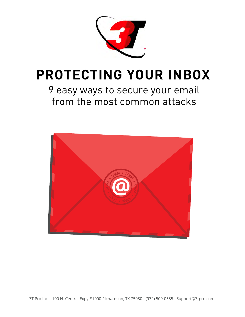

## **PROTECTING YOUR INBOX**

9 easy ways to secure your email from the most common attacks

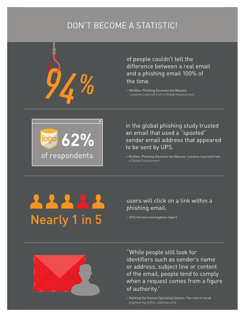## DON'T BECOME A STATISTIC!

of people couldn't tell the difference between a real email and a phishing email 100% of the time.

—McAfee: Phishing Deceives the Masses: Lessons Learned from a Global Assessment



in the global phishing study trusted an email that used a "spoofed" sender email address that appeared to be sent by UPS.

—McAfee: Phishing Deceives the Masses: Lessons Learned from a Global Assessment

# **Nearly 1 in 5**

users will click on a link within a phishing email.

– 2014 Verizon investigation report



"While people still look for identifiers such as sender's name or address, subject line or content of the email, people tend to comply when a request comes from a figure of authority."

– Hacking the Human Operating System: The role of social engineering within cybersecurity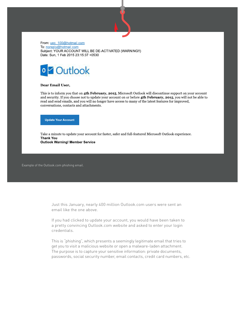

From: uec\_100@hotmail.com To: noreply@hotmail.com Subject: YOUR ACCOUNT WILL BE DE-ACTIVATED (WARNING!!) Date: Sun, 1 Feb 2015 23:15:37 +0530



#### Dear Email User,

This is to inform you that on 4th February, 2015, Microsoft Outlook will discontinue support on your account and security. If you choose not to update your account on or before 4th February, 2015, you will not be able to read and send emails, and you will no longer have access to many of the latest features for improved, conversations, contacts and attachments.

**Update Your Account** 

Take a minute to update your account for faster, safer and full-featured Microsoft Outlook experience. **Thank You Outlook Warning! Member Service** 

Example of the Outlook.com phishing email.

Just this January, nearly 400 million Outlook.com users were sent an email like the one above.

If you had clicked to update your account, you would have been taken to a pretty convincing Outlook.com website and asked to enter your login credentials.

This is "phishing", which presents a seemingly legitimate email that tries to get you to visit a malicious website or open a malware-laden attachment. The purpose is to capture your sensitive information: private documents, passwords, social security number, email contacts, credit card numbers, etc.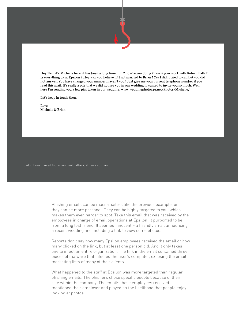Hey Neil, it's Michelle here, it has been a long time huh? how're you doing? how's your work with Return Path? Is everything ok at Epsilon ? Hey, can you believe it! I got married to Brian ! Yes I did. I tried to call but you did not answer. You have changed your number, haven't you? Just give me your current telephone number if you read this mail. It's really a pity that we did not see you in our wedding. I wanted to invite you so much. Well, here I'm sending you a few pics taken in our wedding: www.weddingphotos4u.net/Photos/Michelle/

Let's keep in touch then.

Love, Michelle & Brian

Epsilon breach used four-month-old attack, iTnews.com.au

Phishing emails can be mass-mailers like the previous example, or they can be more personal. They can be highly targeted to you, which makes them even harder to spot. Take this email that was received by the employees in charge of email operations at Epsilon. It purported to be from a long lost friend. It seemed innocent – a friendly email announcing a recent wedding and including a link to view some photos.

Reports don't say how many Epsilon employees received the email or how many clicked on the link, but at least one person did. And it only takes one to infect an entire organization. The link in the email contained three pieces of malware that infected the user's computer, exposing the email marketing lists of many of their clients.

What happened to the staff at Epsilon was more targeted than regular phishing emails. The phishers chose specific people because of their role within the company. The emails those employees received mentioned their employer and played on the likelihood that people enjoy looking at photos.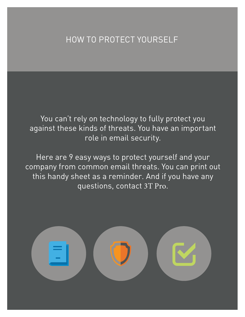### HOW TO PROTECT YOURSELF

You can't rely on technology to fully protect you against these kinds of threats. You have an important role in email security.

Here are 9 easy ways to protect yourself and your company from common email threats. You can print out this handy sheet as a reminder. And if you have any questions, contact 3T Pro.